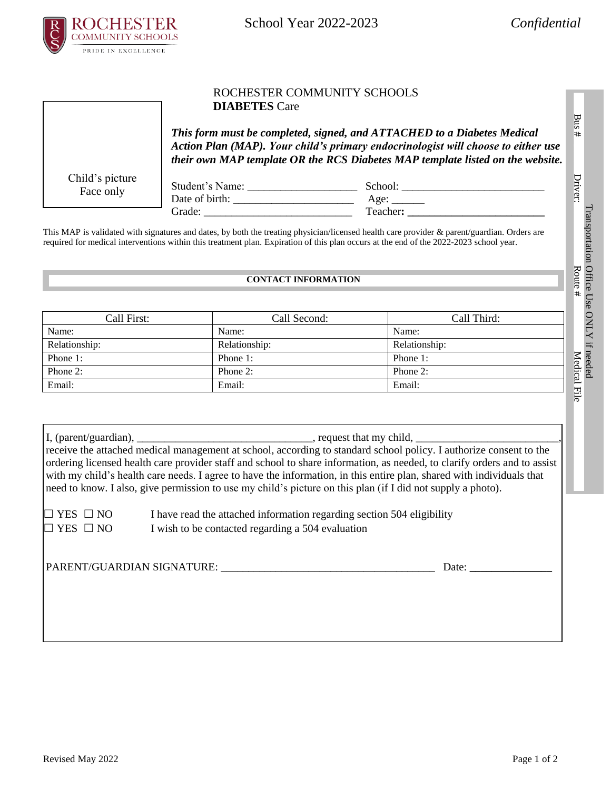

School Year 2022-2023 *Confidential*

## ROCHESTER COMMUNITY SCHOOLS **DIABETES** Care

*This form must be completed, signed, and ATTACHED to a Diabetes Medical Action Plan (MAP). Your child's primary endocrinologist will choose to either use their own MAP template OR the RCS Diabetes MAP template listed on the website.*

Child's picture Face only

Student's Name: \_\_\_\_\_\_\_\_\_\_\_\_\_\_\_\_\_\_\_\_ School: \_\_\_\_\_\_\_\_\_\_\_\_\_\_\_\_\_\_\_\_\_\_\_\_\_\_ Date of birth: \_\_\_\_\_\_\_\_\_\_\_\_\_\_\_\_\_\_\_\_\_\_ Age: \_\_\_\_\_\_ Grade: \_\_\_\_\_\_\_\_\_\_\_\_\_\_\_\_\_\_\_\_\_\_\_\_\_\_\_ Teacher**: \_\_\_\_\_\_\_\_\_\_\_\_\_\_\_\_\_\_\_\_\_\_\_\_\_**

This MAP is validated with signatures and dates, by both the treating physician/licensed health care provider & parent/guardian. Orders are required for medical interventions within this treatment plan. Expiration of this plan occurs at the end of the 2022-2023 school year.

## **CONTACT INFORMATION**

| Call First:   | Call Second:  | Call Third:   |
|---------------|---------------|---------------|
| Name:         | Name:         | Name:         |
| Relationship: | Relationship: | Relationship: |
| Phone 1:      | Phone 1:      | Phone 1:      |
| Phone 2:      | Phone $2$ :   | Phone 2:      |
| Email:        | Email:        | Email:        |

I, (parent/guardian), \_\_\_\_\_\_\_\_\_\_\_\_\_\_\_\_\_\_\_\_\_\_\_\_\_\_\_\_\_\_\_\_\_\_, request that my child, \_ receive the attached medical management at school, according to standard school policy. I authorize consent to the ordering licensed health care provider staff and school to share information, as needed, to clarify orders and to assist with my child's health care needs. I agree to have the information, in this entire plan, shared with individuals that need to know. I also, give permission to use my child's picture on this plan (if I did not supply a photo).

 $\Box$  YES  $\Box$  NO I have read the attached information regarding section 504 eligibility  $\Box$  YES  $\Box$  NO I wish to be contacted regarding a 504 evaluation

PARENT/GUARDIAN SIGNATURE: \_\_\_\_\_\_\_\_\_\_\_\_\_\_\_\_\_\_\_\_\_\_\_\_\_\_\_\_\_\_\_\_\_\_\_\_\_\_\_ Date: **\_\_\_\_\_\_\_\_\_\_\_\_\_\_\_**